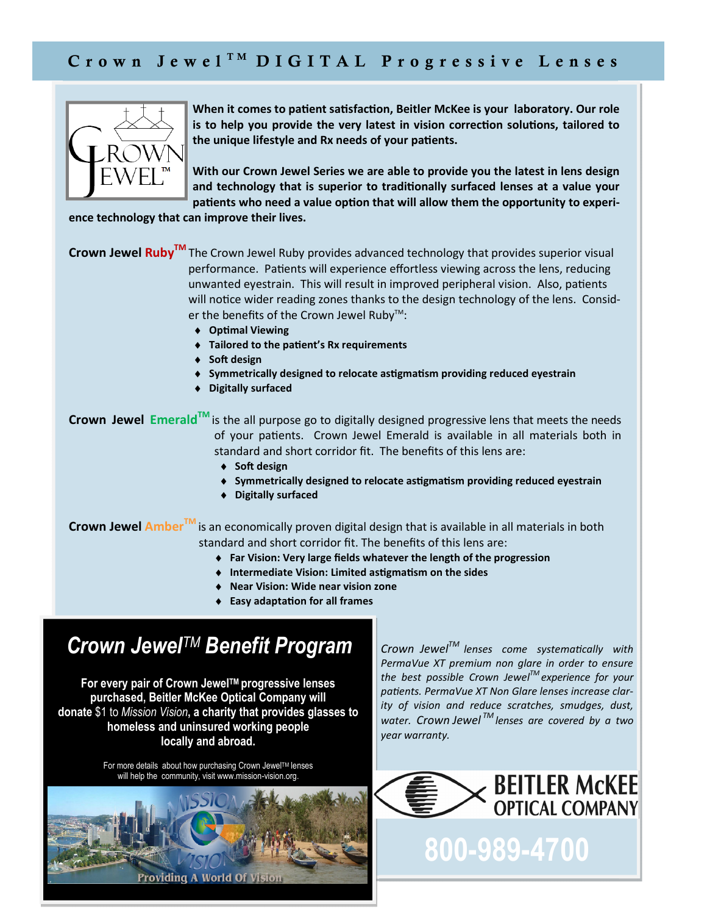

When it comes to patient satisfaction, Beitler McKee is your laboratory. Our role is to help you provide the very latest in vision correction solutions, tailored to the unique lifestyle and Rx needs of your patients.

**With our Crown Jewel Series we are able to provide you the latest in lens design**  and technology that is superior to traditionally surfaced lenses at a value your patients who need a value option that will allow them the opportunity to experi-

**ence technology that can improve their lives.** 

**Crown Jewel RubyTM** The Crown Jewel Ruby provides advanced technology that provides superior visual performance. Patients will experience effortless viewing across the lens, reducing unwanted eyestrain. This will result in improved peripheral vision. Also, patients will notice wider reading zones thanks to the design technology of the lens. Consider the benefits of the Crown Jewel Ruby<sup>™</sup>:

- $\triangleleft$  Optimal Viewing
- $\bullet$  Tailored to the patient's Rx requirements
- ♦ Soft design
- $\bullet$  Symmetrically designed to relocate astigmatism providing reduced eyestrain
- ♦ **Digitally surfaced**

**Crown Jewel EmeraldTM** is the all purpose go to digitally designed progressive lens that meets the needs of your patients. Crown Jewel Emerald is available in all materials both in standard and short corridor fit. The benefits of this lens are:

- ◆ Soft design
- $\bullet$  Symmetrically designed to relocate astigmatism providing reduced eyestrain
- ♦ **Digitally surfaced**

**Crown Jewel AmberTM** is an economically proven digital design that is available in all materials in both standard and short corridor fit. The benefits of this lens are:

- ♦ **Far Vision: Very large fields whatever the length of the progression**
- $\bullet$  Intermediate Vision: Limited astigmatism on the sides
- ♦ **Near Vision: Wide near vision zone**
- $\triangleleft$  **Easy adaptation for all frames**

## *Crown JewelTM Benefit Program*

**For every pair of Crown JewelTM progressive lenses purchased, Beitler McKee Optical Company will donate** \$1 to *Mission Vision***, a charity that provides glasses to homeless and uninsured working people locally and abroad.** 

> For more details about how purchasing Crown Jewel™ lenses will help the community, visit www.mission-vision.org.



 $Crown$  *Jewel*<sup>*TM*</sup> lenses come systematically with *PermaVue XT premium non glare in order to ensure the best possible Crown JewelTM experience for your*  patients. PermaVue XT Non Glare lenses increase clar*ity of vision and reduce scratches, smudges, dust, water. Crown Jewel TM lenses are covered by a two year warranty.*